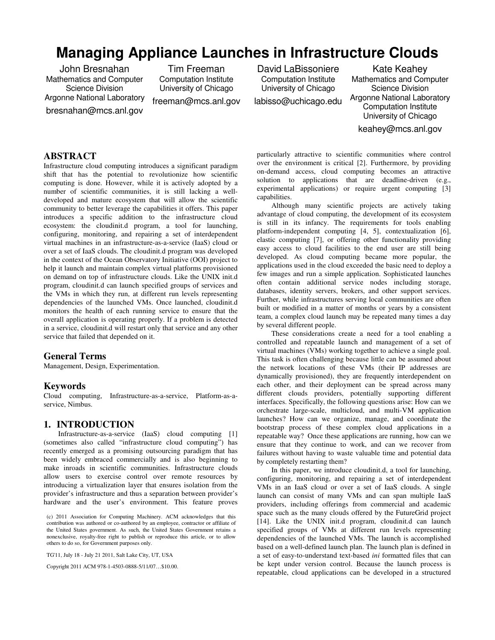# **Managing Appliance Launches in Infrastructure Clouds**

John Bresnahan Mathematics and Computer Science Division Argonne National Laboratory bresnahan@mcs.anl.gov

Tim Freeman Computation Institute University of Chicago

freeman@mcs.anl.gov

David LaBissoniere Computation Institute University of Chicago

labisso@uchicago.edu

Kate Keahey Mathematics and Computer Science Division Argonne National Laboratory Computation Institute University of Chicago keahey@mcs.anl.gov

## **ABSTRACT**

Infrastructure cloud computing introduces a significant paradigm shift that has the potential to revolutionize how scientific computing is done. However, while it is actively adopted by a number of scientific communities, it is still lacking a welldeveloped and mature ecosystem that will allow the scientific community to better leverage the capabilities it offers. This paper introduces a specific addition to the infrastructure cloud ecosystem: the cloudinit.d program, a tool for launching, configuring, monitoring, and repairing a set of interdependent virtual machines in an infrastructure-as-a-service (IaaS) cloud or over a set of IaaS clouds. The cloudinit.d program was developed in the context of the Ocean Observatory Initiative (OOI) project to help it launch and maintain complex virtual platforms provisioned on demand on top of infrastructure clouds. Like the UNIX init.d program, cloudinit.d can launch specified groups of services and the VMs in which they run, at different run levels representing dependencies of the launched VMs. Once launched, cloudinit.d monitors the health of each running service to ensure that the overall application is operating properly. If a problem is detected in a service, cloudinit.d will restart only that service and any other service that failed that depended on it.

#### **General Terms**

Management, Design, Experimentation.

#### **Keywords**

Cloud computing, Infrastructure-as-a-service, Platform-as-aservice, Nimbus.

## **1. INTRODUCTION**

Infrastructure-as-a-service (IaaS) cloud computing [1] (sometimes also called "infrastructure cloud computing") has recently emerged as a promising outsourcing paradigm that has been widely embraced commercially and is also beginning to make inroads in scientific communities. Infrastructure clouds allow users to exercise control over remote resources by introducing a virtualization layer that ensures isolation from the provider's infrastructure and thus a separation between provider's hardware and the user's environment. This feature proves

TG'11, July 18 - July 21 2011, Salt Lake City, UT, USA

Copyright 2011 ACM 978-1-4503-0888-5/11/07…\$10.00.

particularly attractive to scientific communities where control over the environment is critical [2]. Furthermore, by providing on-demand access, cloud computing becomes an attractive solution to applications that are deadline-driven (e.g., experimental applications) or require urgent computing [3] capabilities.

Although many scientific projects are actively taking advantage of cloud computing, the development of its ecosystem is still in its infancy. The requirements for tools enabling platform-independent computing [4, 5], contextualization [6], elastic computing [7], or offering other functionality providing easy access to cloud facilities to the end user are still being developed. As cloud computing became more popular, the applications used in the cloud exceeded the basic need to deploy a few images and run a simple application. Sophisticated launches often contain additional service nodes including storage, databases, identity servers, brokers, and other support services. Further, while infrastructures serving local communities are often built or modified in a matter of months or years by a consistent team, a complex cloud launch may be repeated many times a day by several different people.

These considerations create a need for a tool enabling a controlled and repeatable launch and management of a set of virtual machines (VMs) working together to achieve a single goal. This task is often challenging because little can be assumed about the network locations of these VMs (their IP addresses are dynamically provisioned), they are frequently interdependent on each other, and their deployment can be spread across many different clouds providers, potentially supporting different interfaces. Specifically, the following questions arise: How can we orchestrate large-scale, multicloud, and multi-VM application launches? How can we organize, manage, and coordinate the bootstrap process of these complex cloud applications in a repeatable way? Once these applications are running, how can we ensure that they continue to work, and can we recover from failures without having to waste valuable time and potential data by completely restarting them?

In this paper, we introduce cloudinit.d, a tool for launching, configuring, monitoring, and repairing a set of interdependent VMs in an IaaS cloud or over a set of IaaS clouds. A single launch can consist of many VMs and can span multiple IaaS providers, including offerings from commercial and academic space such as the many clouds offered by the FutureGrid project [14]. Like the UNIX init.d program, cloudinit.d can launch specified groups of VMs at different run levels representing dependencies of the launched VMs. The launch is accomplished based on a well-defined launch plan. The launch plan is defined in a set of easy-to-understand text-based *ini* formatted files that can be kept under version control. Because the launch process is repeatable, cloud applications can be developed in a structured

<sup>(</sup>c) 2011 Association for Computing Machinery. ACM acknowledges that this contribution was authored or co-authored by an employee, contractor or affiliate of the United States government. As such, the United States Government retains a nonexclusive, royalty-free right to publish or reproduce this article, or to allow others to do so, for Government purposes only.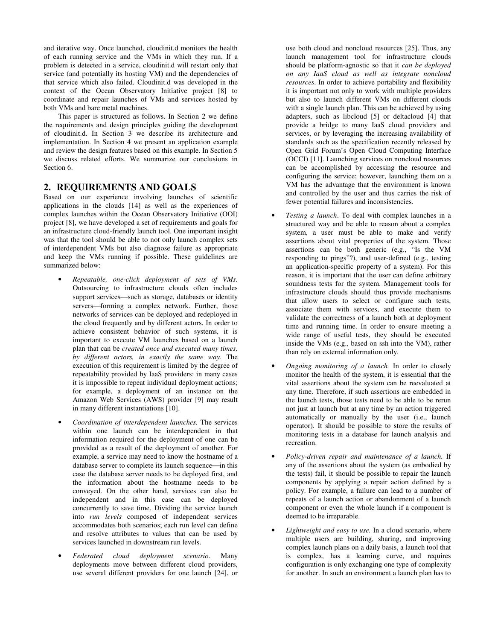and iterative way. Once launched, cloudinit.d monitors the health of each running service and the VMs in which they run. If a problem is detected in a service, cloudinit.d will restart only that service (and potentially its hosting VM) and the dependencies of that service which also failed. Cloudinit.d was developed in the context of the Ocean Observatory Initiative project [8] to coordinate and repair launches of VMs and services hosted by both VMs and bare metal machines.

This paper is structured as follows. In Section 2 we define the requirements and design principles guiding the development of cloudinit.d. In Section 3 we describe its architecture and implementation. In Section 4 we present an application example and review the design features based on this example. In Section 5 we discuss related efforts. We summarize our conclusions in Section 6.

## **2. REQUIREMENTS AND GOALS**

Based on our experience involving launches of scientific applications in the clouds [14] as well as the experiences of complex launches within the Ocean Observatory Initiative (OOI) project [8], we have developed a set of requirements and goals for an infrastructure cloud-friendly launch tool. One important insight was that the tool should be able to not only launch complex sets of interdependent VMs but also diagnose failure as appropriate and keep the VMs running if possible. These guidelines are summarized below:

- *Repeatable, one-click deployment of sets of VMs.* Outsourcing to infrastructure clouds often includes support services—such as storage, databases or identity servers-forming a complex network. Further, those networks of services can be deployed and redeployed in the cloud frequently and by different actors. In order to achieve consistent behavior of such systems, it is important to execute VM launches based on a launch plan that can be *created once and executed many times, by different actors, in exactly the same way*. The execution of this requirement is limited by the degree of repeatability provided by IaaS providers: in many cases it is impossible to repeat individual deployment actions; for example, a deployment of an instance on the Amazon Web Services (AWS) provider [9] may result in many different instantiations [10].
- *Coordination of interdependent launches.* The services within one launch can be interdependent in that information required for the deployment of one can be provided as a result of the deployment of another. For example, a service may need to know the hostname of a database server to complete its launch sequence—in this case the database server needs to be deployed first, and the information about the hostname needs to be conveyed. On the other hand, services can also be independent and in this case can be deployed concurrently to save time. Dividing the service launch into *run levels* composed of independent services accommodates both scenarios; each run level can define and resolve attributes to values that can be used by services launched in downstream run levels.
- *Federated cloud deployment scenario.* Many deployments move between different cloud providers, use several different providers for one launch [24], or

use both cloud and noncloud resources [25]. Thus, any launch management tool for infrastructure clouds should be platform-agnostic so that it *can be deployed on any IaaS cloud as well as integrate noncloud resources*. In order to achieve portability and flexibility it is important not only to work with multiple providers but also to launch different VMs on different clouds with a single launch plan. This can be achieved by using adapters, such as libcloud [5] or deltacloud [4] that provide a bridge to many IaaS cloud providers and services, or by leveraging the increasing availability of standards such as the specification recently released by Open Grid Forum's Open Cloud Computing Interface (OCCI) [11]. Launching services on noncloud resources can be accomplished by accessing the resource and configuring the service; however, launching them on a VM has the advantage that the environment is known and controlled by the user and thus carries the risk of fewer potential failures and inconsistencies.

- *Testing a launch*. To deal with complex launches in a structured way and be able to reason about a complex system, a user must be able to make and verify assertions about vital properties of the system. Those assertions can be both generic (e.g., "Is the VM responding to pings"?), and user-defined (e.g., testing an application-specific property of a system). For this reason, it is important that the user can define arbitrary soundness tests for the system. Management tools for infrastructure clouds should thus provide mechanisms that allow users to select or configure such tests, associate them with services, and execute them to validate the correctness of a launch both at deployment time and running time. In order to ensure meeting a wide range of useful tests, they should be executed inside the VMs (e.g., based on ssh into the VM), rather than rely on external information only.
- *Ongoing monitoring of a launch.* In order to closely monitor the health of the system, it is essential that the vital assertions about the system can be reevaluated at any time. Therefore, if such assertions are embedded in the launch tests, those tests need to be able to be rerun not just at launch but at any time by an action triggered automatically or manually by the user (i.e., launch operator). It should be possible to store the results of monitoring tests in a database for launch analysis and recreation.
- *Policy-driven repair and maintenance of a launch.* If any of the assertions about the system (as embodied by the tests) fail, it should be possible to repair the launch components by applying a repair action defined by a policy. For example, a failure can lead to a number of repeats of a launch action or abandonment of a launch component or even the whole launch if a component is deemed to be irreparable.
- Lightweight and easy to use. In a cloud scenario, where multiple users are building, sharing, and improving complex launch plans on a daily basis, a launch tool that is complex, has a learning curve, and requires configuration is only exchanging one type of complexity for another. In such an environment a launch plan has to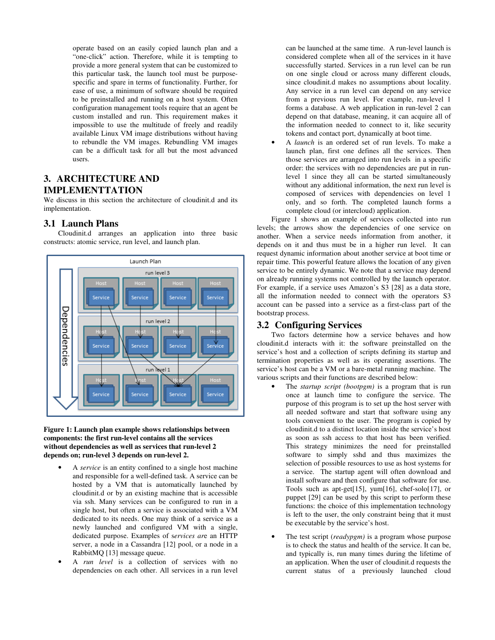operate based on an easily copied launch plan and a "one-click" action. Therefore, while it is tempting to provide a more general system that can be customized to this particular task, the launch tool must be purposespecific and spare in terms of functionality. Further, for ease of use, a minimum of software should be required to be preinstalled and running on a host system. Often configuration management tools require that an agent be custom installed and run. This requirement makes it impossible to use the multitude of freely and readily available Linux VM image distributions without having to rebundle the VM images. Rebundling VM images can be a difficult task for all but the most advanced users.

# **3. ARCHITECTURE AND IMPLEMENTTATION**

We discuss in this section the architecture of cloudinit.d and its implementation.

## **3.1 Launch Plans**



Cloudinit.d arranges an application into three basic constructs: atomic service, run level, and launch plan.

#### **Figure 1: Launch plan example shows relationships between components: the first run-level contains all the services without dependencies as well as services that run-level 2 depends on; run-level 3 depends on run-level 2.**

- A *service* is an entity confined to a single host machine and responsible for a well-defined task. A service can be hosted by a VM that is automatically launched by cloudinit.d or by an existing machine that is accessible via ssh. Many services can be configured to run in a single host, but often a service is associated with a VM dedicated to its needs. One may think of a service as a newly launched and configured VM with a single, dedicated purpose. Examples of s*ervices ar*e an HTTP server, a node in a Cassandra [12] pool, or a node in a RabbitMQ [13] message queue.
- A *run level* is a collection of services with no dependencies on each other. All services in a run level

can be launched at the same time. A run-level launch is considered complete when all of the services in it have successfully started. Services in a run level can be run on one single cloud or across many different clouds, since cloudinit.d makes no assumptions about locality. Any service in a run level can depend on any service from a previous run level. For example, run-level 1 forms a database. A web application in run-level 2 can depend on that database, meaning, it can acquire all of the information needed to connect to it, like security tokens and contact port, dynamically at boot time.

• A *launch* is an ordered set of run levels. To make a launch plan, first one defines all the services. Then those services are arranged into run levels in a specific order: the services with no dependencies are put in runlevel 1 since they all can be started simultaneously without any additional information, the next run level is composed of services with dependencies on level 1 only, and so forth. The completed launch forms a complete cloud (or intercloud) application.

Figure 1 shows an example of services collected into run levels; the arrows show the dependencies of one service on another. When a service needs information from another, it depends on it and thus must be in a higher run level. It can request dynamic information about another service at boot time or repair time. This powerful feature allows the location of any given service to be entirely dynamic. We note that a service may depend on already running systems not controlled by the launch operator. For example, if a service uses Amazon's S3 [28] as a data store, all the information needed to connect with the operators S3 account can be passed into a service as a first-class part of the bootstrap process.

## **3.2 Configuring Services**

Two factors determine how a service behaves and how cloudinit.d interacts with it: the software preinstalled on the service's host and a collection of scripts defining its startup and termination properties as well as its operating assertions. The service's host can be a VM or a bare-metal running machine. The various scripts and their functions are described below:

- The *startup script (bootpgm)* is a program that is run once at launch time to configure the service. The purpose of this program is to set up the host server with all needed software and start that software using any tools convenient to the user. The program is copied by cloudinit.d to a distinct location inside the service's host as soon as ssh access to that host has been verified. This strategy minimizes the need for preinstalled software to simply sshd and thus maximizes the selection of possible resources to use as host systems for a service. The startup agent will often download and install software and then configure that software for use. Tools such as apt-get[15], yum[16], chef-solo[17], or puppet [29] can be used by this script to perform these functions: the choice of this implementation technology is left to the user, the only constraint being that it must be executable by the service's host.
- The test script (*readypgm*) is a program whose purpose is to check the status and health of the service. It can be, and typically is, run many times during the lifetime of an application. When the user of cloudinit.d requests the current status of a previously launched cloud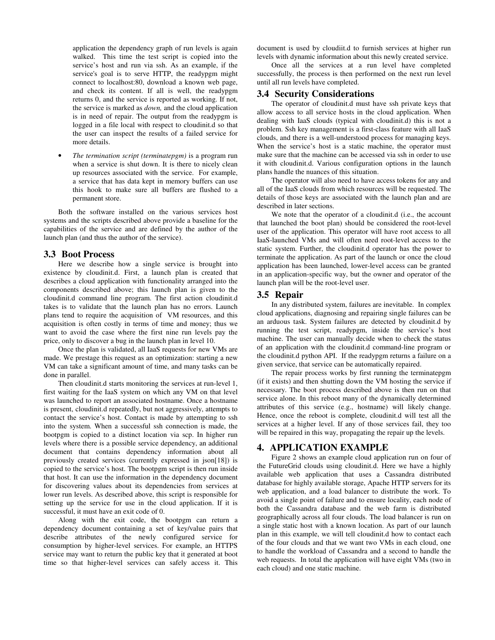application the dependency graph of run levels is again walked. This time the test script is copied into the service's host and run via ssh. As an example, if the service's goal is to serve HTTP, the readypgm might connect to localhost:80, download a known web page, and check its content. If all is well, the readypgm returns 0, and the service is reported as working. If not, the service is marked as *down,* and the cloud application is in need of repair. The output from the readypgm is logged in a file local with respect to cloudinit.d so that the user can inspect the results of a failed service for more details.

• *The termination script (terminatepgm)* is a program run when a service is shut down. It is there to nicely clean up resources associated with the service. For example, a service that has data kept in memory buffers can use this hook to make sure all buffers are flushed to a permanent store.

Both the software installed on the various services host systems and the scripts described above provide a baseline for the capabilities of the service and are defined by the author of the launch plan (and thus the author of the service).

#### **3.3 Boot Process**

Here we describe how a single service is brought into existence by cloudinit.d. First, a launch plan is created that describes a cloud application with functionality arranged into the components described above; this launch plan is given to the cloudinit.d command line program. The first action cloudinit.d takes is to validate that the launch plan has no errors. Launch plans tend to require the acquisition of VM resources, and this acquisition is often costly in terms of time and money; thus we want to avoid the case where the first nine run levels pay the price, only to discover a bug in the launch plan in level 10.

Once the plan is validated, all IaaS requests for new VMs are made. We prestage this request as an optimization: starting a new VM can take a significant amount of time, and many tasks can be done in parallel.

Then cloudinit.d starts monitoring the services at run-level 1, first waiting for the IaaS system on which any VM on that level was launched to report an associated hostname. Once a hostname is present, cloudinit.d repeatedly, but not aggressively, attempts to contact the service's host. Contact is made by attempting to ssh into the system. When a successful ssh connection is made, the bootpgm is copied to a distinct location via scp. In higher run levels where there is a possible service dependency, an additional document that contains dependency information about all previously created services (currently expressed in json[18]) is copied to the service's host. The bootpgm script is then run inside that host. It can use the information in the dependency document for discovering values about its dependencies from services at lower run levels. As described above, this script is responsible for setting up the service for use in the cloud application. If it is successful, it must have an exit code of 0.

Along with the exit code, the bootpgm can return a dependency document containing a set of key/value pairs that describe attributes of the newly configured service for consumption by higher-level services. For example, an HTTPS service may want to return the public key that it generated at boot time so that higher-level services can safely access it. This

document is used by cloudiit.d to furnish services at higher run levels with dynamic information about this newly created service.

Once all the services at a run level have completed successfully, the process is then performed on the next run level until all run levels have completed.

#### **3.4 Security Considerations**

The operator of cloudinit.d must have ssh private keys that allow access to all service hosts in the cloud application. When dealing with IaaS clouds (typical with cloudinit.d) this is not a problem. Ssh key management is a first-class feature with all IaaS clouds, and there is a well-understood process for managing keys. When the service's host is a static machine, the operator must make sure that the machine can be accessed via ssh in order to use it with cloudinit.d. Various configuration options in the launch plans handle the nuances of this situation.

The operator will also need to have access tokens for any and all of the IaaS clouds from which resources will be requested. The details of those keys are associated with the launch plan and are described in later sections.

We note that the operator of a cloudinit.d (i.e., the account that launched the boot plan) should be considered the root-level user of the application. This operator will have root access to all IaaS-launched VMs and will often need root-level access to the static system. Further, the cloudinit.d operator has the power to terminate the application. As part of the launch or once the cloud application has been launched, lower-level access can be granted in an application-specific way, but the owner and operator of the launch plan will be the root-level user.

#### **3.5 Repair**

In any distributed system, failures are inevitable. In complex cloud applications, diagnosing and repairing single failures can be an arduous task. System failures are detected by cloudinit.d by running the test script, readypgm, inside the service's host machine. The user can manually decide when to check the status of an application with the cloudinit.d command-line program or the cloudinit.d python API. If the readypgm returns a failure on a given service, that service can be automatically repaired.

The repair process works by first running the terminatepgm (if it exists) and then shutting down the VM hosting the service if necessary. The boot process described above is then run on that service alone. In this reboot many of the dynamically determined attributes of this service (e.g., hostname) will likely change. Hence, once the reboot is complete, cloudinit.d will test all the services at a higher level. If any of those services fail, they too will be repaired in this way, propagating the repair up the levels.

#### **4. APPLICATION EXAMPLE**

Figure 2 shows an example cloud application run on four of the FutureGrid clouds using cloudinit.d. Here we have a highly available web application that uses a Cassandra distributed database for highly available storage, Apache HTTP servers for its web application, and a load balancer to distribute the work. To avoid a single point of failure and to ensure locality, each node of both the Cassandra database and the web farm is distributed geographically across all four clouds. The load balancer is run on a single static host with a known location. As part of our launch plan in this example, we will tell cloudinit.d how to contact each of the four clouds and that we want two VMs in each cloud, one to handle the workload of Cassandra and a second to handle the web requests. In total the application will have eight VMs (two in each cloud) and one static machine.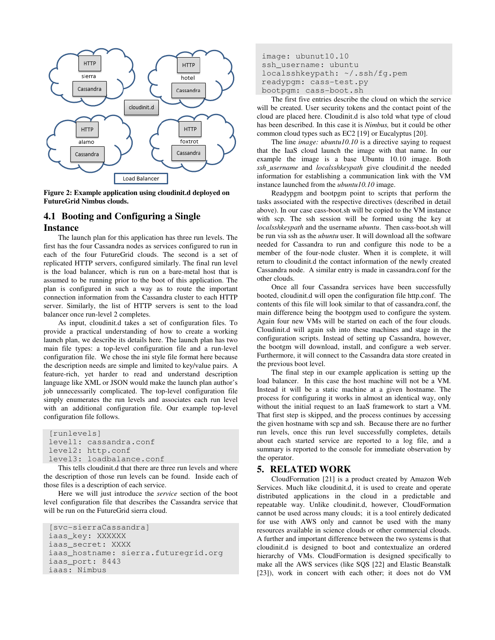

**Figure 2: Example application using cloudinit.d deployed on FutureGrid Nimbus clouds.** 

## **4.1 Booting and Configuring a Single Instance**

The launch plan for this application has three run levels. The first has the four Cassandra nodes as services configured to run in each of the four FutureGrid clouds. The second is a set of replicated HTTP servers, configured similarly. The final run level is the load balancer, which is run on a bare-metal host that is assumed to be running prior to the boot of this application. The plan is configured in such a way as to route the important connection information from the Cassandra cluster to each HTTP server. Similarly, the list of HTTP servers is sent to the load balancer once run-level 2 completes.

As input, cloudinit.d takes a set of configuration files. To provide a practical understanding of how to create a working launch plan, we describe its details here. The launch plan has two main file types: a top-level configuration file and a run-level configuration file. We chose the ini style file format here because the description needs are simple and limited to key/value pairs. A feature-rich, yet harder to read and understand description language like XML or JSON would make the launch plan author's job unnecessarily complicated. The top-level configuration file simply enumerates the run levels and associates each run level with an additional configuration file. Our example top-level configuration file follows.

```
[runlevels]
 level1: cassandra.conf 
 level2: http.conf 
 level3: loadbalance.conf
```
This tells cloudinit.d that there are three run levels and where the description of those run levels can be found. Inside each of those files is a description of each service.

Here we will just introduce the *service* section of the boot level configuration file that describes the Cassandra service that will be run on the FutureGrid sierra cloud.

```
 [svc-sierraCassandra] 
 iaas_key: XXXXXX 
 iaas_secret: XXXX 
iaas hostname: sierra.futuregrid.org
 iaas_port: 8443 
 iaas: Nimbus
```

```
 image: ubunut10.10 
 ssh_username: ubuntu 
 localsshkeypath: ~/.ssh/fg.pem 
 readypgm: cass-test.py 
 bootpgm: cass-boot.sh
```
The first five entries describe the cloud on which the service will be created. User security tokens and the contact point of the cloud are placed here. Cloudinit.d is also told what type of cloud has been described. In this case it is *Nimbus,* but it could be other common cloud types such as EC2 [19] or Eucalyptus [20].

The line *image: ubuntu10.10* is a directive saying to request that the IaaS cloud launch the image with that name. In our example the image is a base Ubuntu 10.10 image. Both *ssh\_username* and *localsshkeypath* give cloudinit.d the needed information for establishing a communication link with the VM instance launched from the *ubuntu10.10* image.

Readypgm and bootpgm point to scripts that perform the tasks associated with the respective directives (described in detail above). In our case cass-boot.sh will be copied to the VM instance with scp. The ssh session will be formed using the key at *localsshkeypath* and the username *ubuntu*. Then cass-boot.sh will be run via ssh as the *ubuntu* user. It will download all the software needed for Cassandra to run and configure this node to be a member of the four-node cluster. When it is complete, it will return to cloudinit.d the contact information of the newly created Cassandra node. A similar entry is made in cassandra.conf for the other clouds.

Once all four Cassandra services have been successfully booted, cloudinit.d will open the configuration file http.conf. The contents of this file will look similar to that of cassandra.conf, the main difference being the bootpgm used to configure the system. Again four new VMs will be started on each of the four clouds. Cloudinit.d will again ssh into these machines and stage in the configuration scripts. Instead of setting up Cassandra, however, the bootgm will download, install, and configure a web server. Furthermore, it will connect to the Cassandra data store created in the previous boot level.

The final step in our example application is setting up the load balancer. In this case the host machine will not be a VM. Instead it will be a static machine at a given hostname. The process for configuring it works in almost an identical way, only without the initial request to an IaaS framework to start a VM. That first step is skipped, and the process continues by accessing the given hostname with scp and ssh. Because there are no further run levels, once this run level successfully completes, details about each started service are reported to a log file, and a summary is reported to the console for immediate observation by the operator.

### **5. RELATED WORK**

CloudFormation [21] is a product created by Amazon Web Services. Much like cloudinit.d, it is used to create and operate distributed applications in the cloud in a predictable and repeatable way. Unlike cloudinit.d, however, CloudFormation cannot be used across many clouds; it is a tool entirely dedicated for use with AWS only and cannot be used with the many resources available in science clouds or other commercial clouds. A further and important difference between the two systems is that cloudinit.d is designed to boot and contextualize an ordered hierarchy of VMs. CloudFormation is designed specifically to make all the AWS services (like SQS [22] and Elastic Beanstalk [23]), work in concert with each other; it does not do VM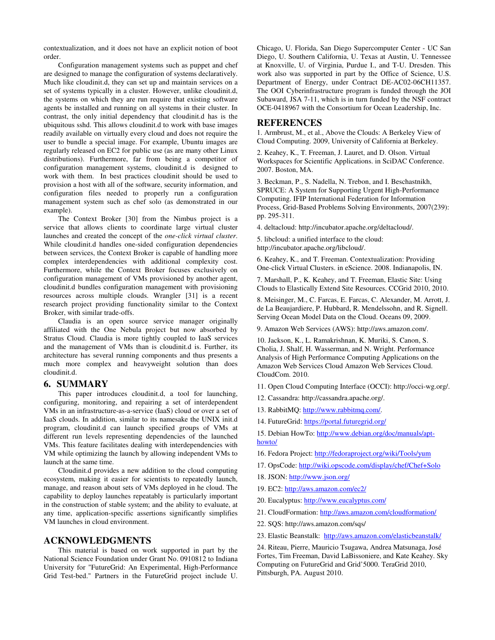contextualization, and it does not have an explicit notion of boot order.

Configuration management systems such as puppet and chef are designed to manage the configuration of systems declaratively. Much like cloudinit.d, they can set up and maintain services on a set of systems typically in a cluster. However, unlike cloudinit.d, the systems on which they are run require that existing software agents be installed and running on all systems in their cluster. In contrast, the only initial dependency that cloudinit.d has is the ubiquitous sshd. This allows cloudinit.d to work with base images readily available on virtually every cloud and does not require the user to bundle a special image. For example, Ubuntu images are regularly released on EC2 for public use (as are many other Linux distributions). Furthermore, far from being a competitor of configuration management systems, cloudinit.d is designed to work with them. In best practices cloudinit should be used to provision a host with all of the software, security information, and configuration files needed to properly run a configuration management system such as chef solo (as demonstrated in our example).

The Context Broker [30] from the Nimbus project is a service that allows clients to coordinate large virtual cluster launches and created the concept of the *one-click virtual cluster*. While cloudinit.d handles one-sided configuration dependencies between services, the Context Broker is capable of handling more complex interdependencies with additional complexity cost. Furthermore, while the Context Broker focuses exclusively on configuration management of VMs provisioned by another agent, cloudinit.d bundles configuration management with provisioning resources across multiple clouds. Wrangler [31] is a recent research project providing functionality similar to the Context Broker, with similar trade-offs.

Claudia is an open source service manager originally affiliated with the One Nebula project but now absorbed by Stratus Cloud. Claudia is more tightly coupled to IaaS services and the management of VMs than is cloudinit.d is. Further, its architecture has several running components and thus presents a much more complex and heavyweight solution than does cloudinit.d.

#### **6. SUMMARY**

This paper introduces cloudinit.d, a tool for launching, configuring, monitoring, and repairing a set of interdependent VMs in an infrastructure-as-a-service (IaaS) cloud or over a set of IaaS clouds. In addition, similar to its namesake the UNIX init.d program, cloudinit.d can launch specified groups of VMs at different run levels representing dependencies of the launched VMs. This feature facilitates dealing with interdependencies with VM while optimizing the launch by allowing independent VMs to launch at the same time.

Cloudinit.d provides a new addition to the cloud computing ecosystem, making it easier for scientists to repeatedly launch, manage, and reason about sets of VMs deployed in he cloud. The capability to deploy launches repeatably is particularly important in the construction of stable system; and the ability to evaluate, at any time, application-specific assertions significantly simplifies VM launches in cloud environment.

#### **ACKNOWLEDGMENTS**

This material is based on work supported in part by the National Science Foundation under Grant No. 0910812 to Indiana University for "FutureGrid: An Experimental, High-Performance Grid Test-bed." Partners in the FutureGrid project include U.

Chicago, U. Florida, San Diego Supercomputer Center - UC San Diego, U. Southern California, U. Texas at Austin, U. Tennessee at Knoxville, U. of Virginia, Purdue I., and T-U. Dresden. This work also was supported in part by the Office of Science, U.S. Department of Energy, under Contract DE-AC02-06CH11357. The OOI Cyberinfrastructure program is funded through the JOI Subaward, JSA 7-11, which is in turn funded by the NSF contract OCE-0418967 with the Consortium for Ocean Leadership, Inc.

#### **REFERENCES**

1. Armbrust, M., et al., Above the Clouds: A Berkeley View of Cloud Computing. 2009, University of California at Berkeley.

2. Keahey, K., T. Freeman, J. Lauret, and D. Olson. Virtual Workspaces for Scientific Applications. in SciDAC Conference. 2007. Boston, MA.

3. Beckman, P., S. Nadella, N. Trebon, and I. Beschastnikh, SPRUCE: A System for Supporting Urgent High-Performance Computing. IFIP International Federation for Information Process, Grid-Based Problems Solving Environments, 2007(239): pp. 295-311.

4. deltacloud: http://incubator.apache.org/deltacloud/.

5. libcloud: a unified interface to the cloud:

http://incubator.apache.org/libcloud/.

6. Keahey, K., and T. Freeman. Contextualization: Providing One-click Virtual Clusters. in eScience. 2008. Indianapolis, IN.

7. Marshall, P., K. Keahey, and T. Freeman, Elastic Site: Using Clouds to Elastically Extend Site Resources. CCGrid 2010, 2010.

8. Meisinger, M., C. Farcas, E. Farcas, C. Alexander, M. Arrott, J. de La Beaujardiere, P. Hubbard, R. Mendelssohn, and R. Signell. Serving Ocean Model Data on the Cloud. Oceans 09, 2009.

9. Amazon Web Services (AWS): http://aws.amazon.com/.

10. Jackson, K., L. Ramakrishnan, K. Muriki, S. Canon, S. Cholia, J. Shalf, H. Wasserman, and N. Wright. Performance Analysis of High Performance Computing Applications on the Amazon Web Services Cloud Amazon Web Services Cloud. CloudCom. 2010.

11. Open Cloud Computing Interface (OCCI): http://occi-wg.org/.

- 12. Cassandra: http://cassandra.apache.org/.
- 13. RabbitMQ: http://www.rabbitmq.com/.
- 14. FutureGrid: https://portal.futuregrid.org/

15. Debian HowTo: http://www.debian.org/doc/manuals/apthowto/

- 16. Fedora Project: http://fedoraproject.org/wiki/Tools/yum
- 17. OpsCode: http://wiki.opscode.com/display/chef/Chef+Solo
- 18. JSON: http://www.json.org/
- 19. EC2: http://aws.amazon.com/ec2/
- 20. Eucalyptus: http://www.eucalyptus.com/
- 21. CloudFormation: http://aws.amazon.com/cloudformation/
- 22. SQS: http://aws.amazon.com/sqs/
- 23. Elastic Beanstalk: http://aws.amazon.com/elasticbeanstalk/

24. Riteau, Pierre, Mauricio Tsugawa, Andrea Matsunaga, José Fortes, Tim Freeman, David LaBissoniere, and Kate Keahey. Sky Computing on FutureGrid and Grid'5000. TeraGrid 2010, Pittsburgh, PA. August 2010.